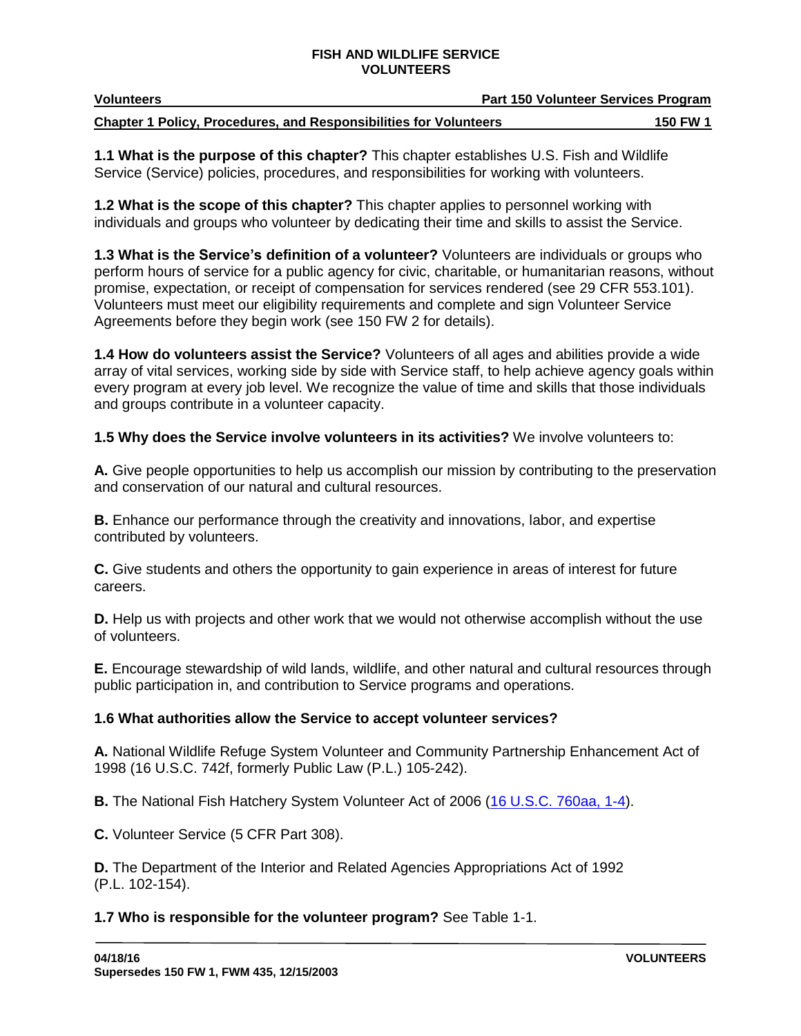| <b>Volunteers</b>                                                        | <b>Part 150 Volunteer Services Program</b> |                 |
|--------------------------------------------------------------------------|--------------------------------------------|-----------------|
| <b>Chapter 1 Policy, Procedures, and Responsibilities for Volunteers</b> |                                            | <b>150 FW 1</b> |

**1.1 What is the purpose of this chapter?** This chapter establishes U.S. Fish and Wildlife Service (Service) policies, procedures, and responsibilities for working with volunteers.

**1.2 What is the scope of this chapter?** This chapter applies to personnel working with individuals and groups who volunteer by dedicating their time and skills to assist the Service.

**1.3 What is the Service's definition of a volunteer?** Volunteers are individuals or groups who perform hours of service for a public agency for civic, charitable, or humanitarian reasons, without promise, expectation, or receipt of compensation for services rendered (see 29 CFR 553.101). Volunteers must meet our eligibility requirements and complete and sign Volunteer Service Agreements before they begin work (see 150 FW 2 for details).

**1.4 How do volunteers assist the Service?** Volunteers of all ages and abilities provide a wide array of vital services, working side by side with Service staff, to help achieve agency goals within every program at every job level. We recognize the value of time and skills that those individuals and groups contribute in a volunteer capacity.

**1.5 Why does the Service involve volunteers in its activities?** We involve volunteers to:

**A.** Give people opportunities to help us accomplish our mission by contributing to the preservation and conservation of our natural and cultural resources.

**B.** Enhance our performance through the creativity and innovations, labor, and expertise contributed by volunteers.

**C.** Give students and others the opportunity to gain experience in areas of interest for future careers.

**D.** Help us with projects and other work that we would not otherwise accomplish without the use of volunteers.

**E.** Encourage stewardship of wild lands, wildlife, and other natural and cultural resources through public participation in, and contribution to Service programs and operations.

# **1.6 What authorities allow the Service to accept volunteer services?**

**A.** National Wildlife Refuge System Volunteer and Community Partnership Enhancement Act of 1998 (16 U.S.C. 742f, formerly Public Law (P.L.) 105-242).

**B.** The National Fish Hatchery System Volunteer Act of 2006 [\(16 U.S.C. 760aa, 1-4\)](http://uscode.house.gov/search/criteria.shtml).

**C.** Volunteer Service (5 CFR Part 308).

**D.** The Department of the Interior and Related Agencies Appropriations Act of 1992 (P.L. 102-154).

# **1.7 Who is responsible for the volunteer program?** See Table 1-1.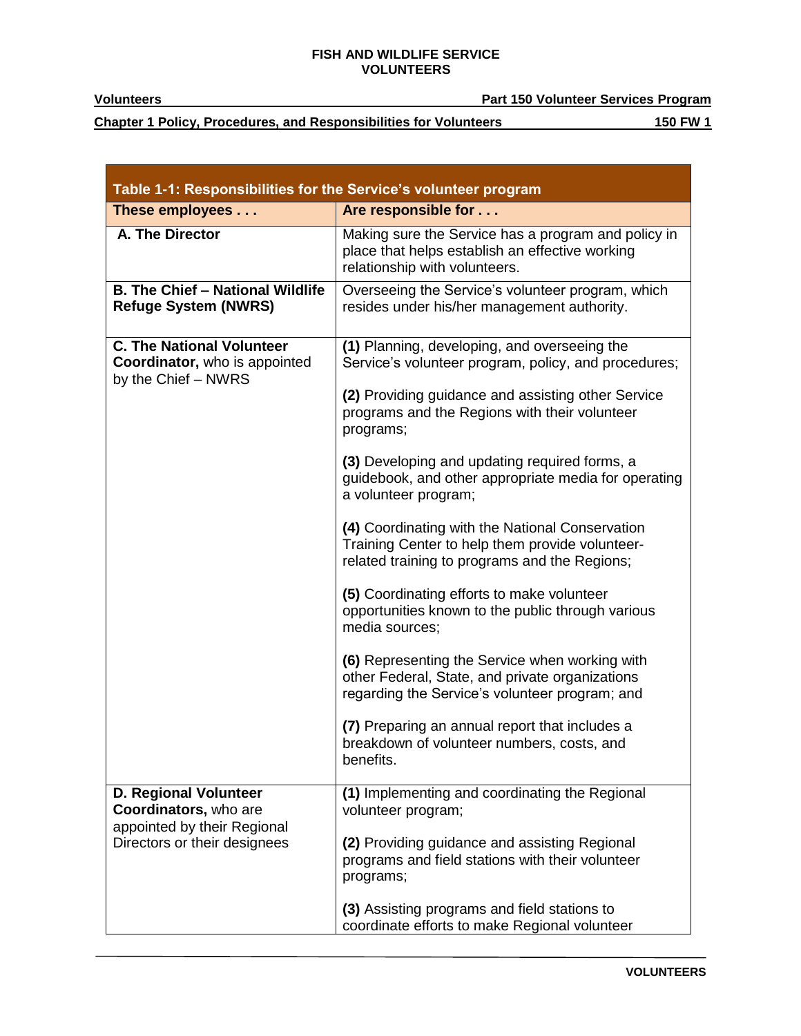т

**Volunteers Part 150 Volunteer Services Program**

**Chapter 1 Policy, Procedures, and Responsibilities for Volunteers 150 FW 1** 

| Table 1-1: Responsibilities for the Service's volunteer program                                                      |                                                                                                                                                     |  |
|----------------------------------------------------------------------------------------------------------------------|-----------------------------------------------------------------------------------------------------------------------------------------------------|--|
| These employees                                                                                                      | Are responsible for                                                                                                                                 |  |
| A. The Director                                                                                                      | Making sure the Service has a program and policy in<br>place that helps establish an effective working<br>relationship with volunteers.             |  |
| <b>B. The Chief - National Wildlife</b><br><b>Refuge System (NWRS)</b>                                               | Overseeing the Service's volunteer program, which<br>resides under his/her management authority.                                                    |  |
| <b>C. The National Volunteer</b><br>Coordinator, who is appointed<br>by the Chief - NWRS                             | (1) Planning, developing, and overseeing the<br>Service's volunteer program, policy, and procedures;                                                |  |
|                                                                                                                      | (2) Providing guidance and assisting other Service<br>programs and the Regions with their volunteer<br>programs;                                    |  |
|                                                                                                                      | (3) Developing and updating required forms, a<br>guidebook, and other appropriate media for operating<br>a volunteer program;                       |  |
|                                                                                                                      | (4) Coordinating with the National Conservation<br>Training Center to help them provide volunteer-<br>related training to programs and the Regions; |  |
|                                                                                                                      | (5) Coordinating efforts to make volunteer<br>opportunities known to the public through various<br>media sources;                                   |  |
|                                                                                                                      | (6) Representing the Service when working with<br>other Federal, State, and private organizations<br>regarding the Service's volunteer program; and |  |
|                                                                                                                      | (7) Preparing an annual report that includes a<br>breakdown of volunteer numbers, costs, and<br>benefits.                                           |  |
| <b>D. Regional Volunteer</b><br>Coordinators, who are<br>appointed by their Regional<br>Directors or their designees | (1) Implementing and coordinating the Regional<br>volunteer program;                                                                                |  |
|                                                                                                                      | (2) Providing guidance and assisting Regional<br>programs and field stations with their volunteer<br>programs;                                      |  |
|                                                                                                                      | (3) Assisting programs and field stations to<br>coordinate efforts to make Regional volunteer                                                       |  |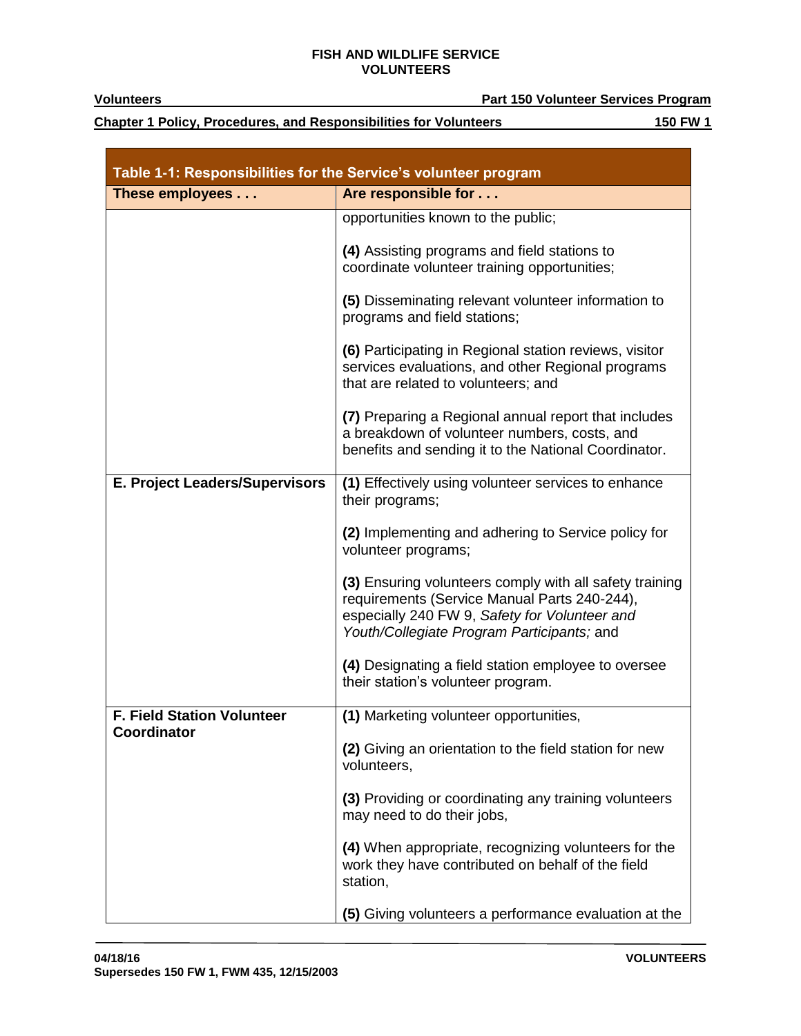**Chapter 1 Policy, Procedures, and Responsibilities for Volunteers 150 FW 1** 

| Table 1-1: Responsibilities for the Service's volunteer program |                                                                                                                                                                                                        |  |
|-----------------------------------------------------------------|--------------------------------------------------------------------------------------------------------------------------------------------------------------------------------------------------------|--|
| These employees                                                 | Are responsible for                                                                                                                                                                                    |  |
|                                                                 | opportunities known to the public;                                                                                                                                                                     |  |
|                                                                 | (4) Assisting programs and field stations to<br>coordinate volunteer training opportunities;                                                                                                           |  |
|                                                                 | (5) Disseminating relevant volunteer information to<br>programs and field stations;                                                                                                                    |  |
|                                                                 | (6) Participating in Regional station reviews, visitor<br>services evaluations, and other Regional programs<br>that are related to volunteers; and                                                     |  |
|                                                                 | (7) Preparing a Regional annual report that includes<br>a breakdown of volunteer numbers, costs, and<br>benefits and sending it to the National Coordinator.                                           |  |
| E. Project Leaders/Supervisors                                  | (1) Effectively using volunteer services to enhance<br>their programs;                                                                                                                                 |  |
|                                                                 | (2) Implementing and adhering to Service policy for<br>volunteer programs;                                                                                                                             |  |
|                                                                 | (3) Ensuring volunteers comply with all safety training<br>requirements (Service Manual Parts 240-244),<br>especially 240 FW 9, Safety for Volunteer and<br>Youth/Collegiate Program Participants; and |  |
|                                                                 | (4) Designating a field station employee to oversee<br>their station's volunteer program.                                                                                                              |  |
| <b>F. Field Station Volunteer</b>                               | (1) Marketing volunteer opportunities,                                                                                                                                                                 |  |
| <b>Coordinator</b>                                              | (2) Giving an orientation to the field station for new<br>volunteers,                                                                                                                                  |  |
|                                                                 | (3) Providing or coordinating any training volunteers<br>may need to do their jobs,                                                                                                                    |  |
|                                                                 | (4) When appropriate, recognizing volunteers for the<br>work they have contributed on behalf of the field<br>station,                                                                                  |  |
|                                                                 | (5) Giving volunteers a performance evaluation at the                                                                                                                                                  |  |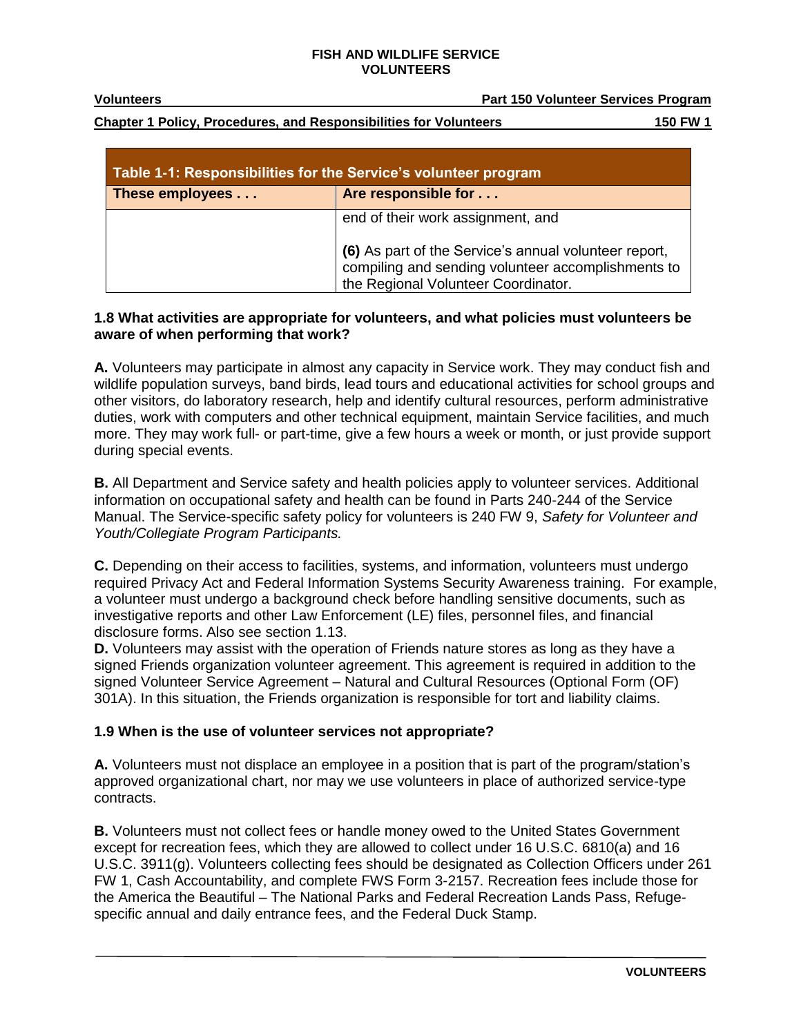**Volunteers Part 150 Volunteer Services Program**

**Chapter 1 Policy, Procedures, and Responsibilities for Volunteers 150 FW 1**

| Table 1-1: Responsibilities for the Service's volunteer program |                                                                                                                                                  |
|-----------------------------------------------------------------|--------------------------------------------------------------------------------------------------------------------------------------------------|
| These employees                                                 | Are responsible for                                                                                                                              |
|                                                                 | end of their work assignment, and<br>(6) As part of the Service's annual volunteer report,<br>compiling and sending volunteer accomplishments to |
|                                                                 | the Regional Volunteer Coordinator.                                                                                                              |

## **1.8 What activities are appropriate for volunteers, and what policies must volunteers be aware of when performing that work?**

**A.** Volunteers may participate in almost any capacity in Service work. They may conduct fish and wildlife population surveys, band birds, lead tours and educational activities for school groups and other visitors, do laboratory research, help and identify cultural resources, perform administrative duties, work with computers and other technical equipment, maintain Service facilities, and much more. They may work full- or part-time, give a few hours a week or month, or just provide support during special events.

**B.** All Department and Service safety and health policies apply to volunteer services. Additional information on occupational safety and health can be found in Parts 240-244 of the Service Manual. The Service-specific safety policy for volunteers is 240 FW 9, *Safety for Volunteer and Youth/Collegiate Program Participants.*

**C.** Depending on their access to facilities, systems, and information, volunteers must undergo required Privacy Act and Federal Information Systems Security Awareness training. For example, a volunteer must undergo a background check before handling sensitive documents, such as investigative reports and other Law Enforcement (LE) files, personnel files, and financial disclosure forms. Also see section 1.13.

**D.** Volunteers may assist with the operation of Friends nature stores as long as they have a signed Friends organization volunteer agreement. This agreement is required in addition to the signed Volunteer Service Agreement – Natural and Cultural Resources (Optional Form (OF) 301A). In this situation, the Friends organization is responsible for tort and liability claims.

# **1.9 When is the use of volunteer services not appropriate?**

**A.** Volunteers must not displace an employee in a position that is part of the program/station's approved organizational chart, nor may we use volunteers in place of authorized service-type contracts.

**B.** Volunteers must not collect fees or handle money owed to the United States Government except for recreation fees, which they are allowed to collect under 16 U.S.C. 6810(a) and 16 U.S.C. 3911(g). Volunteers collecting fees should be designated as Collection Officers under 261 FW 1, Cash Accountability, and complete FWS Form 3-2157. Recreation fees include those for the America the Beautiful – The National Parks and Federal Recreation Lands Pass, Refugespecific annual and daily entrance fees, and the Federal Duck Stamp.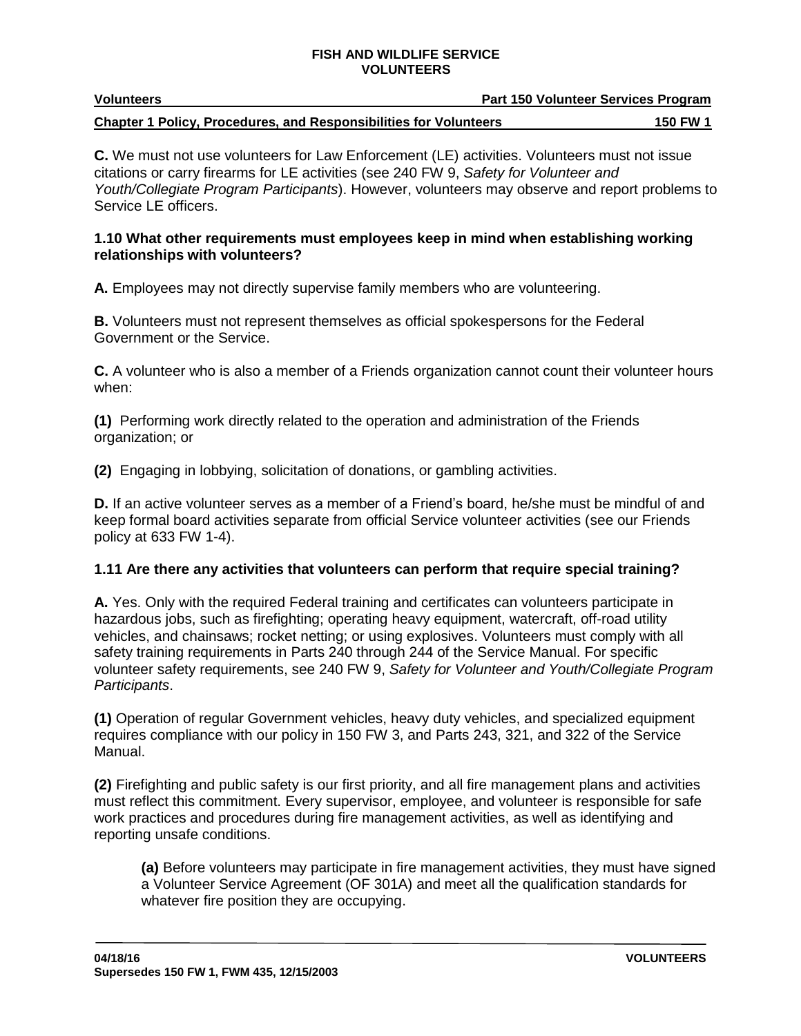| <b>Volunteers</b>                                                        | Part 150 Volunteer Services Program |  |
|--------------------------------------------------------------------------|-------------------------------------|--|
| <b>Chapter 1 Policy, Procedures, and Responsibilities for Volunteers</b> | <b>150 FW 1</b>                     |  |

**C.** We must not use volunteers for Law Enforcement (LE) activities. Volunteers must not issue citations or carry firearms for LE activities (see 240 FW 9, *Safety for Volunteer and Youth/Collegiate Program Participants*). However, volunteers may observe and report problems to Service LE officers.

### **1.10 What other requirements must employees keep in mind when establishing working relationships with volunteers?**

**A.** Employees may not directly supervise family members who are volunteering.

**B.** Volunteers must not represent themselves as official spokespersons for the Federal Government or the Service.

**C.** A volunteer who is also a member of a Friends organization cannot count their volunteer hours when:

**(1)** Performing work directly related to the operation and administration of the Friends organization; or

**(2)** Engaging in lobbying, solicitation of donations, or gambling activities.

**D.** If an active volunteer serves as a member of a Friend's board, he/she must be mindful of and keep formal board activities separate from official Service volunteer activities (see our Friends policy at 633 FW 1-4).

### **1.11 Are there any activities that volunteers can perform that require special training?**

**A.** Yes. Only with the required Federal training and certificates can volunteers participate in hazardous jobs, such as firefighting; operating heavy equipment, watercraft, off-road utility vehicles, and chainsaws; rocket netting; or using explosives. Volunteers must comply with all safety training requirements in Parts 240 through 244 of the Service Manual. For specific volunteer safety requirements, see 240 FW 9, *Safety for Volunteer and Youth/Collegiate Program Participants*.

**(1)** Operation of regular Government vehicles, heavy duty vehicles, and specialized equipment requires compliance with our policy in 150 FW 3, and Parts 243, 321, and 322 of the Service Manual.

**(2)** Firefighting and public safety is our first priority, and all fire management plans and activities must reflect this commitment. Every supervisor, employee, and volunteer is responsible for safe work practices and procedures during fire management activities, as well as identifying and reporting unsafe conditions.

**(a)** Before volunteers may participate in fire management activities, they must have signed a Volunteer Service Agreement (OF 301A) and meet all the qualification standards for whatever fire position they are occupying.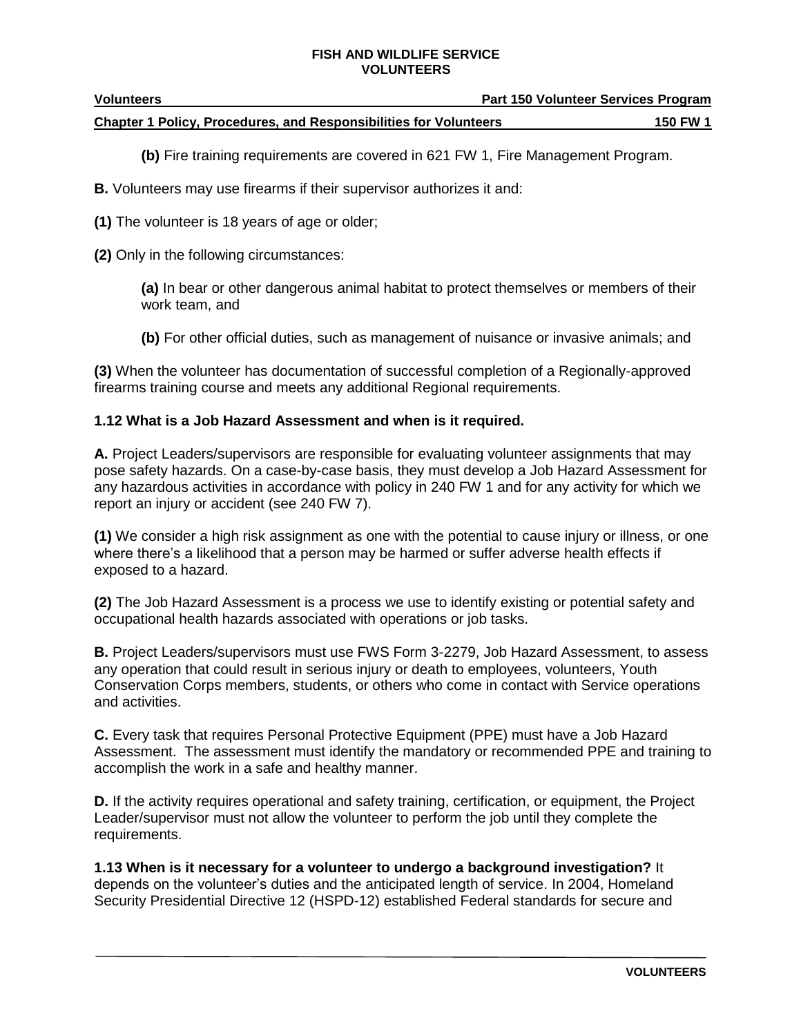| <b>Volunteers</b>                                                        | <b>Part 150 Volunteer Services Program</b> |          |
|--------------------------------------------------------------------------|--------------------------------------------|----------|
| <b>Chapter 1 Policy, Procedures, and Responsibilities for Volunteers</b> |                                            | 150 FW 1 |

**(b)** Fire training requirements are covered in 621 FW 1, Fire Management Program.

**B.** Volunteers may use firearms if their supervisor authorizes it and:

**(1)** The volunteer is 18 years of age or older;

**(2)** Only in the following circumstances:

**(a)** In bear or other dangerous animal habitat to protect themselves or members of their work team, and

**(b)** For other official duties, such as management of nuisance or invasive animals; and

**(3)** When the volunteer has documentation of successful completion of a Regionally-approved firearms training course and meets any additional Regional requirements.

### **1.12 What is a Job Hazard Assessment and when is it required.**

**A.** Project Leaders/supervisors are responsible for evaluating volunteer assignments that may pose safety hazards. On a case-by-case basis, they must develop a Job Hazard Assessment for any hazardous activities in accordance with policy in 240 FW 1 and for any activity for which we report an injury or accident (see 240 FW 7).

**(1)** We consider a high risk assignment as one with the potential to cause injury or illness, or one where there's a likelihood that a person may be harmed or suffer adverse health effects if exposed to a hazard.

**(2)** The Job Hazard Assessment is a process we use to identify existing or potential safety and occupational health hazards associated with operations or job tasks.

**B.** Project Leaders/supervisors must use FWS Form 3-2279, Job Hazard Assessment, to assess any operation that could result in serious injury or death to employees, volunteers, Youth Conservation Corps members, students, or others who come in contact with Service operations and activities.

**C.** Every task that requires Personal Protective Equipment (PPE) must have a Job Hazard Assessment. The assessment must identify the mandatory or recommended PPE and training to accomplish the work in a safe and healthy manner.

**D.** If the activity requires operational and safety training, certification, or equipment, the Project Leader/supervisor must not allow the volunteer to perform the job until they complete the requirements.

**1.13 When is it necessary for a volunteer to undergo a background investigation?** It depends on the volunteer's duties and the anticipated length of service. In 2004, Homeland Security Presidential Directive 12 (HSPD-12) established Federal standards for secure and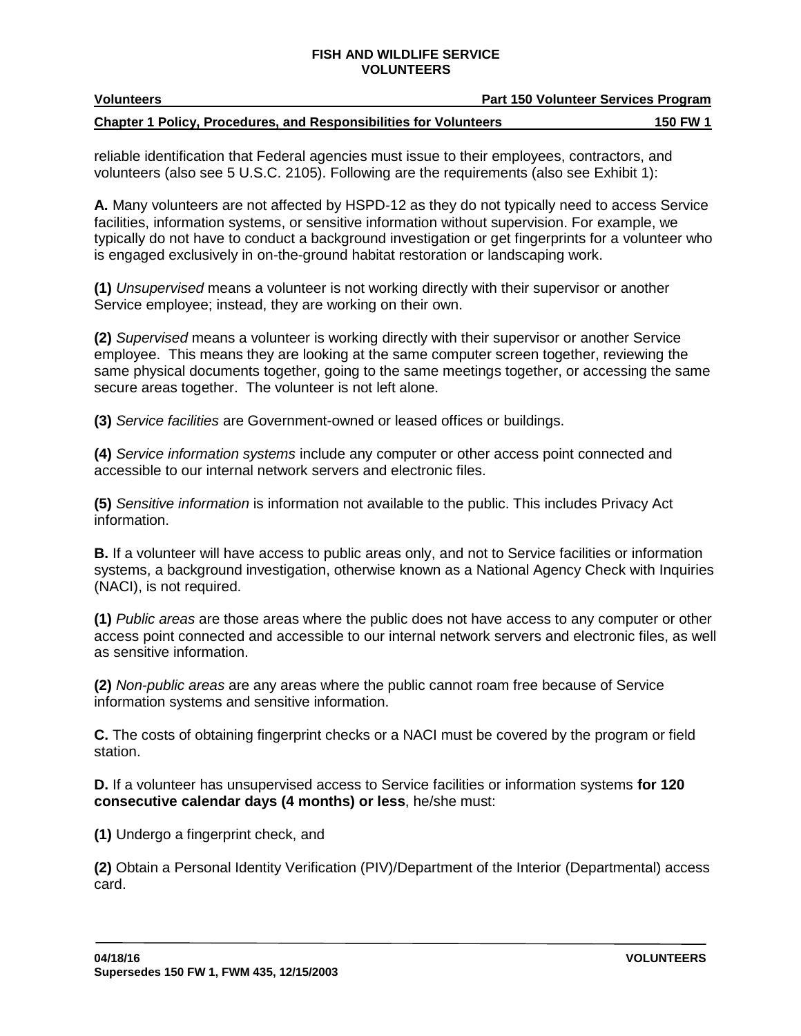| <b>Volunteers</b>                                                        | <b>Part 150 Volunteer Services Program</b> |  |
|--------------------------------------------------------------------------|--------------------------------------------|--|
| <b>Chapter 1 Policy, Procedures, and Responsibilities for Volunteers</b> | 150 FW 1                                   |  |

reliable identification that Federal agencies must issue to their employees, contractors, and volunteers (also see 5 U.S.C. 2105). Following are the requirements (also see Exhibit 1):

**A.** Many volunteers are not affected by HSPD-12 as they do not typically need to access Service facilities, information systems, or sensitive information without supervision. For example, we typically do not have to conduct a background investigation or get fingerprints for a volunteer who is engaged exclusively in on-the-ground habitat restoration or landscaping work.

**(1)** *Unsupervised* means a volunteer is not working directly with their supervisor or another Service employee; instead, they are working on their own.

**(2)** *Supervised* means a volunteer is working directly with their supervisor or another Service employee. This means they are looking at the same computer screen together, reviewing the same physical documents together, going to the same meetings together, or accessing the same secure areas together. The volunteer is not left alone.

**(3)** *Service facilities* are Government-owned or leased offices or buildings.

**(4)** *Service information systems* include any computer or other access point connected and accessible to our internal network servers and electronic files.

**(5)** *Sensitive information* is information not available to the public. This includes Privacy Act information.

**B.** If a volunteer will have access to public areas only, and not to Service facilities or information systems, a background investigation, otherwise known as a National Agency Check with Inquiries (NACI), is not required.

**(1)** *Public areas* are those areas where the public does not have access to any computer or other access point connected and accessible to our internal network servers and electronic files, as well as sensitive information.

**(2)** *Non-public areas* are any areas where the public cannot roam free because of Service information systems and sensitive information.

**C.** The costs of obtaining fingerprint checks or a NACI must be covered by the program or field station.

**D.** If a volunteer has unsupervised access to Service facilities or information systems **for 120 consecutive calendar days (4 months) or less**, he/she must:

**(1)** Undergo a fingerprint check, and

**(2)** Obtain a Personal Identity Verification (PIV)/Department of the Interior (Departmental) access card.